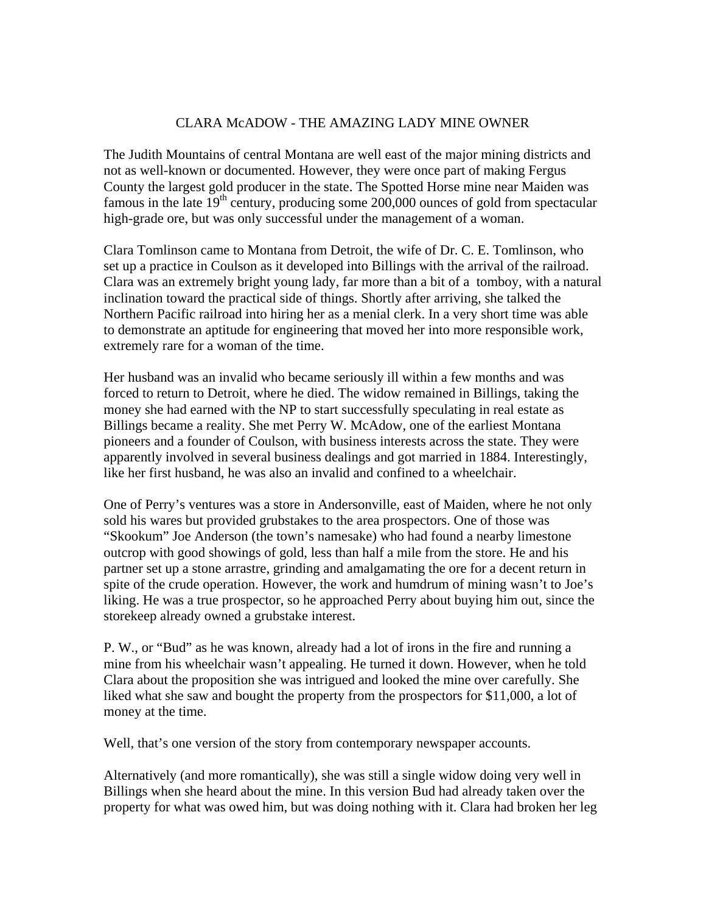## CLARA McADOW - THE AMAZING LADY MINE OWNER

The Judith Mountains of central Montana are well east of the major mining districts and not as well-known or documented. However, they were once part of making Fergus County the largest gold producer in the state. The Spotted Horse mine near Maiden was famous in the late  $19<sup>th</sup>$  century, producing some 200,000 ounces of gold from spectacular high-grade ore, but was only successful under the management of a woman.

Clara Tomlinson came to Montana from Detroit, the wife of Dr. C. E. Tomlinson, who set up a practice in Coulson as it developed into Billings with the arrival of the railroad. Clara was an extremely bright young lady, far more than a bit of a tomboy, with a natural inclination toward the practical side of things. Shortly after arriving, she talked the Northern Pacific railroad into hiring her as a menial clerk. In a very short time was able to demonstrate an aptitude for engineering that moved her into more responsible work, extremely rare for a woman of the time.

Her husband was an invalid who became seriously ill within a few months and was forced to return to Detroit, where he died. The widow remained in Billings, taking the money she had earned with the NP to start successfully speculating in real estate as Billings became a reality. She met Perry W. McAdow, one of the earliest Montana pioneers and a founder of Coulson, with business interests across the state. They were apparently involved in several business dealings and got married in 1884. Interestingly, like her first husband, he was also an invalid and confined to a wheelchair.

One of Perry's ventures was a store in Andersonville, east of Maiden, where he not only sold his wares but provided grubstakes to the area prospectors. One of those was "Skookum" Joe Anderson (the town's namesake) who had found a nearby limestone outcrop with good showings of gold, less than half a mile from the store. He and his partner set up a stone arrastre, grinding and amalgamating the ore for a decent return in spite of the crude operation. However, the work and humdrum of mining wasn't to Joe's liking. He was a true prospector, so he approached Perry about buying him out, since the storekeep already owned a grubstake interest.

P. W., or "Bud" as he was known, already had a lot of irons in the fire and running a mine from his wheelchair wasn't appealing. He turned it down. However, when he told Clara about the proposition she was intrigued and looked the mine over carefully. She liked what she saw and bought the property from the prospectors for \$11,000, a lot of money at the time.

Well, that's one version of the story from contemporary newspaper accounts.

Alternatively (and more romantically), she was still a single widow doing very well in Billings when she heard about the mine. In this version Bud had already taken over the property for what was owed him, but was doing nothing with it. Clara had broken her leg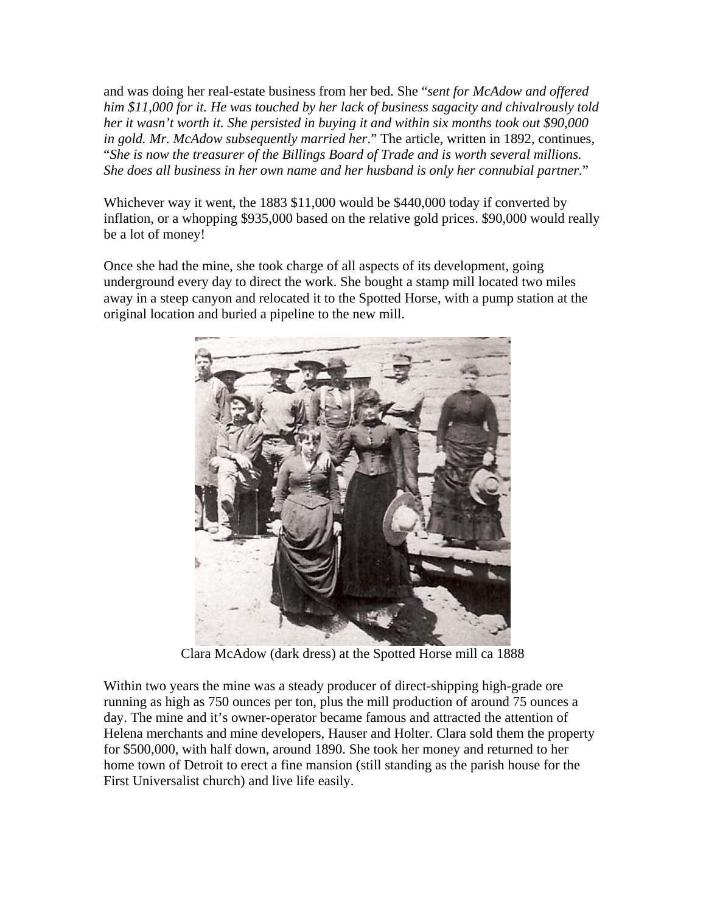and was doing her real-estate business from her bed. She "*sent for McAdow and offered him \$11,000 for it. He was touched by her lack of business sagacity and chivalrously told her it wasn't worth it. She persisted in buying it and within six months took out \$90,000 in gold. Mr. McAdow subsequently married her*." The article, written in 1892, continues, "*She is now the treasurer of the Billings Board of Trade and is worth several millions. She does all business in her own name and her husband is only her connubial partner.*"

Whichever way it went, the 1883 \$11,000 would be \$440,000 today if converted by inflation, or a whopping \$935,000 based on the relative gold prices. \$90,000 would really be a lot of money!

Once she had the mine, she took charge of all aspects of its development, going underground every day to direct the work. She bought a stamp mill located two miles away in a steep canyon and relocated it to the Spotted Horse, with a pump station at the original location and buried a pipeline to the new mill.



Clara McAdow (dark dress) at the Spotted Horse mill ca 1888

Within two years the mine was a steady producer of direct-shipping high-grade ore running as high as 750 ounces per ton, plus the mill production of around 75 ounces a day. The mine and it's owner-operator became famous and attracted the attention of Helena merchants and mine developers, Hauser and Holter. Clara sold them the property for \$500,000, with half down, around 1890. She took her money and returned to her home town of Detroit to erect a fine mansion (still standing as the parish house for the First Universalist church) and live life easily.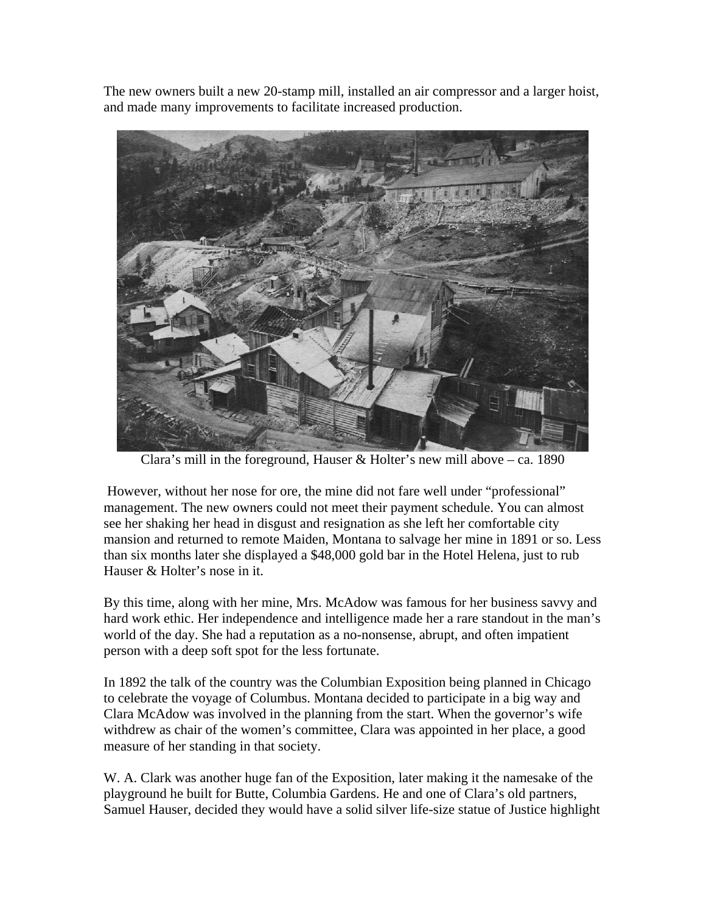The new owners built a new 20-stamp mill, installed an air compressor and a larger hoist, and made many improvements to facilitate increased production.



Clara's mill in the foreground, Hauser & Holter's new mill above – ca. 1890

 However, without her nose for ore, the mine did not fare well under "professional" management. The new owners could not meet their payment schedule. You can almost see her shaking her head in disgust and resignation as she left her comfortable city mansion and returned to remote Maiden, Montana to salvage her mine in 1891 or so. Less than six months later she displayed a \$48,000 gold bar in the Hotel Helena, just to rub Hauser & Holter's nose in it.

By this time, along with her mine, Mrs. McAdow was famous for her business savvy and hard work ethic. Her independence and intelligence made her a rare standout in the man's world of the day. She had a reputation as a no-nonsense, abrupt, and often impatient person with a deep soft spot for the less fortunate.

In 1892 the talk of the country was the Columbian Exposition being planned in Chicago to celebrate the voyage of Columbus. Montana decided to participate in a big way and Clara McAdow was involved in the planning from the start. When the governor's wife withdrew as chair of the women's committee, Clara was appointed in her place, a good measure of her standing in that society.

W. A. Clark was another huge fan of the Exposition, later making it the namesake of the playground he built for Butte, Columbia Gardens. He and one of Clara's old partners, Samuel Hauser, decided they would have a solid silver life-size statue of Justice highlight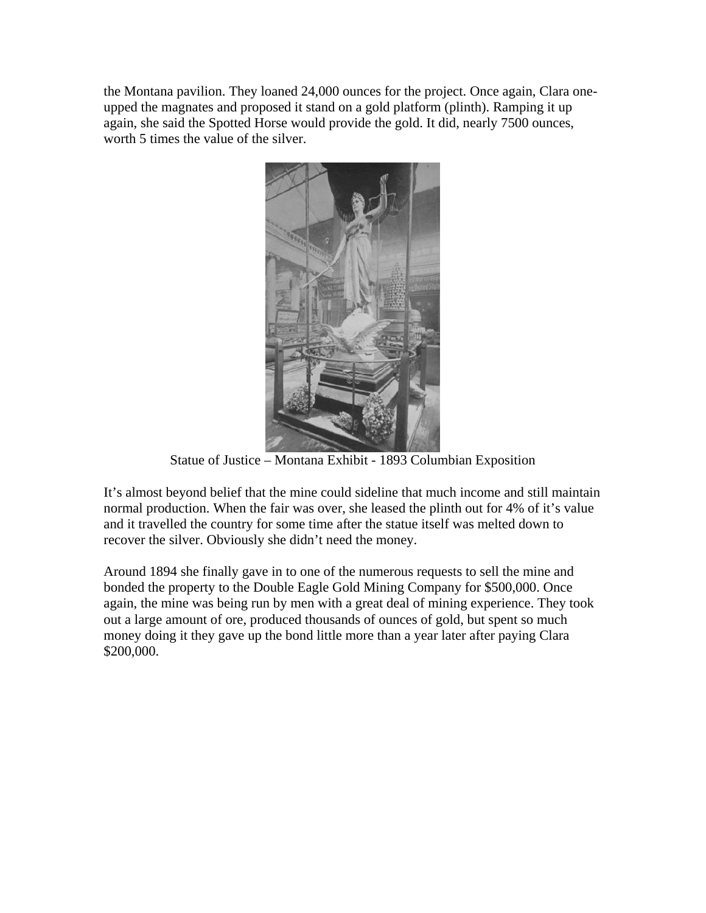the Montana pavilion. They loaned 24,000 ounces for the project. Once again, Clara oneupped the magnates and proposed it stand on a gold platform (plinth). Ramping it up again, she said the Spotted Horse would provide the gold. It did, nearly 7500 ounces, worth 5 times the value of the silver.



Statue of Justice – Montana Exhibit - 1893 Columbian Exposition

It's almost beyond belief that the mine could sideline that much income and still maintain normal production. When the fair was over, she leased the plinth out for 4% of it's value and it travelled the country for some time after the statue itself was melted down to recover the silver. Obviously she didn't need the money.

Around 1894 she finally gave in to one of the numerous requests to sell the mine and bonded the property to the Double Eagle Gold Mining Company for \$500,000. Once again, the mine was being run by men with a great deal of mining experience. They took out a large amount of ore, produced thousands of ounces of gold, but spent so much money doing it they gave up the bond little more than a year later after paying Clara \$200,000.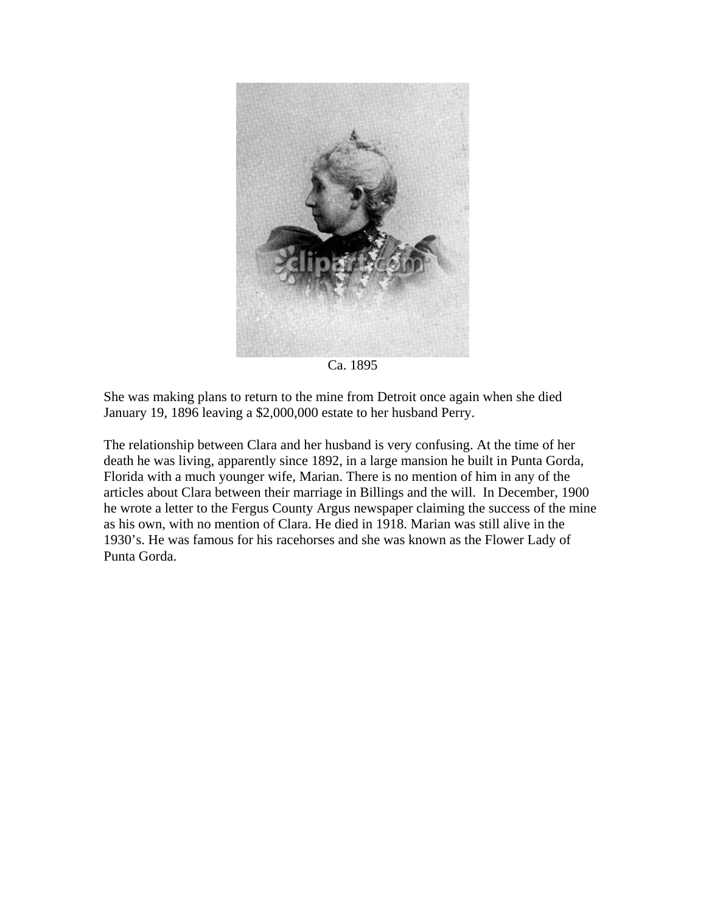

Ca. 1895

She was making plans to return to the mine from Detroit once again when she died January 19, 1896 leaving a \$2,000,000 estate to her husband Perry.

The relationship between Clara and her husband is very confusing. At the time of her death he was living, apparently since 1892, in a large mansion he built in Punta Gorda, Florida with a much younger wife, Marian. There is no mention of him in any of the articles about Clara between their marriage in Billings and the will. In December, 1900 he wrote a letter to the Fergus County Argus newspaper claiming the success of the mine as his own, with no mention of Clara. He died in 1918. Marian was still alive in the 1930's. He was famous for his racehorses and she was known as the Flower Lady of Punta Gorda.